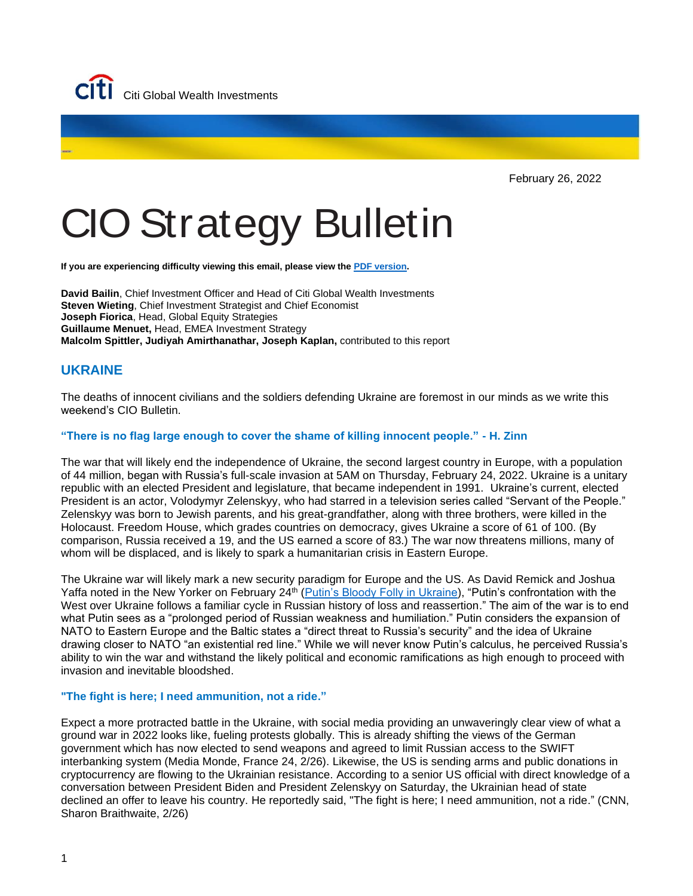

February 26, 2022

# CIO Strategy Bulletin

**If you are experiencing difficulty viewing this email, please view the PDF [version.](https://www.privatebank.citibank.com/ivc/docs/quadrant/CIOBulletin02262022FINAL.pdf)** 

**David Bailin**, Chief Investment Officer and Head of Citi Global Wealth Investments **Steven Wieting**, Chief Investment Strategist and Chief Economist **Joseph Fiorica**, Head, Global Equity Strategies **Guillaume Menuet,** Head, EMEA Investment Strategy **Malcolm Spittler, Judiyah Amirthanathar, Joseph Kaplan,** contributed to this report

# **UKRAINE**

The deaths of innocent civilians and the soldiers defending Ukraine are foremost in our minds as we write this weekend's CIO Bulletin.

### **"There is no flag large enough to cover the shame of killing innocent people." - H. Zinn**

The war that will likely end the independence of Ukraine, the second largest country in Europe, with a population of 44 million, began with Russia's full-scale invasion at 5AM on Thursday, February 24, 2022. Ukraine is a unitary republic with an elected President and legislature, that became independent in 1991. Ukraine's current, elected President is an actor, Volodymyr Zelenskyy, who had starred in a television series called "Servant of the People." Zelenskyy was born to Jewish parents, and his great-grandfather, along with three brothers, were killed in the Holocaust. Freedom House, which grades countries on democracy, gives Ukraine a score of 61 of 100. (By comparison, Russia received a 19, and the US earned a score of 83.) The war now threatens millions, many of whom will be displaced, and is likely to spark a humanitarian crisis in Eastern Europe.

The Ukraine war will likely mark a new security paradigm for Europe and the US. As David Remick and Joshua Yaffa noted in the New Yorker on February 24<sup>th</sup> [\(Putin's Bloody Folly in Ukraine\)](https://www.newyorker.com/books/double-take/russias-war-on-ukraine-in-context), "Putin's confrontation with the West over Ukraine follows a familiar cycle in Russian history of loss and reassertion." The aim of the war is to end what Putin sees as a "prolonged period of Russian weakness and humiliation." Putin considers the expansion of NATO to Eastern Europe and the Baltic states a "direct threat to Russia's security" and the idea of Ukraine drawing closer to NATO "an existential red line." While we will never know Putin's calculus, he perceived Russia's ability to win the war and withstand the likely political and economic ramifications as high enough to proceed with invasion and inevitable bloodshed.

#### **"The fight is here; I need ammunition, not a ride."**

Expect a more protracted battle in the Ukraine, with social media providing an unwaveringly clear view of what a ground war in 2022 looks like, fueling protests globally. This is already shifting the views of the German government which has now elected to send weapons and agreed to limit Russian access to the SWIFT interbanking system (Media Monde, France 24, 2/26). Likewise, the US is sending arms and public donations in cryptocurrency are flowing to the Ukrainian resistance. According to a senior US official with direct knowledge of a conversation between President Biden and President Zelenskyy on Saturday, the Ukrainian head of state declined an offer to leave his country. He reportedly said, "The fight is here; I need ammunition, not a ride." (CNN, Sharon Braithwaite, 2/26)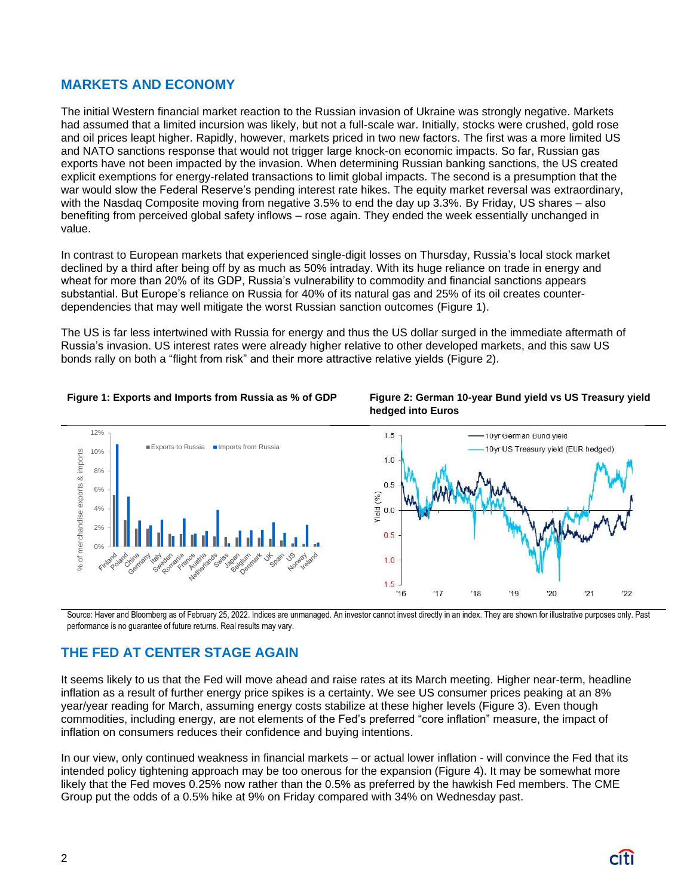# **MARKETS AND ECONOMY**

The initial Western financial market reaction to the Russian invasion of Ukraine was strongly negative. Markets had assumed that a limited incursion was likely, but not a full-scale war. Initially, stocks were crushed, gold rose and oil prices leapt higher. Rapidly, however, markets priced in two new factors. The first was a more limited US and NATO sanctions response that would not trigger large knock-on economic impacts. So far, Russian gas exports have not been impacted by the invasion. When determining Russian banking sanctions, the US created explicit exemptions for energy-related transactions to limit global impacts. The second is a presumption that the war would slow the Federal Reserve's pending interest rate hikes. The equity market reversal was extraordinary, with the Nasdaq Composite moving from negative 3.5% to end the day up 3.3%. By Friday, US shares – also benefiting from perceived global safety inflows – rose again. They ended the week essentially unchanged in value.

In contrast to European markets that experienced single-digit losses on Thursday, Russia's local stock market declined by a third after being off by as much as 50% intraday. With its huge reliance on trade in energy and wheat for more than 20% of its GDP, Russia's vulnerability to commodity and financial sanctions appears substantial. But Europe's reliance on Russia for 40% of its natural gas and 25% of its oil creates counterdependencies that may well mitigate the worst Russian sanction outcomes (Figure 1).

The US is far less intertwined with Russia for energy and thus the US dollar surged in the immediate aftermath of Russia's invasion. US interest rates were already higher relative to other developed markets, and this saw US bonds rally on both a "flight from risk" and their more attractive relative yields (Figure 2).





Source: Haver and Bloomberg as of February 25, 2022. Indices are unmanaged. An investor cannot invest directly in an index. They are shown for illustrative purposes only. Past performance is no guarantee of future returns. Real results may vary.

# **THE FED AT CENTER STAGE AGAIN**

It seems likely to us that the Fed will move ahead and raise rates at its March meeting. Higher near-term, headline inflation as a result of further energy price spikes is a certainty. We see US consumer prices peaking at an 8% year/year reading for March, assuming energy costs stabilize at these higher levels (Figure 3). Even though commodities, including energy, are not elements of the Fed's preferred "core inflation" measure, the impact of inflation on consumers reduces their confidence and buying intentions.

In our view, only continued weakness in financial markets – or actual lower inflation - will convince the Fed that its intended policy tightening approach may be too onerous for the expansion (Figure 4). It may be somewhat more likely that the Fed moves 0.25% now rather than the 0.5% as preferred by the hawkish Fed members. The CME Group put the odds of a 0.5% hike at 9% on Friday compared with 34% on Wednesday past.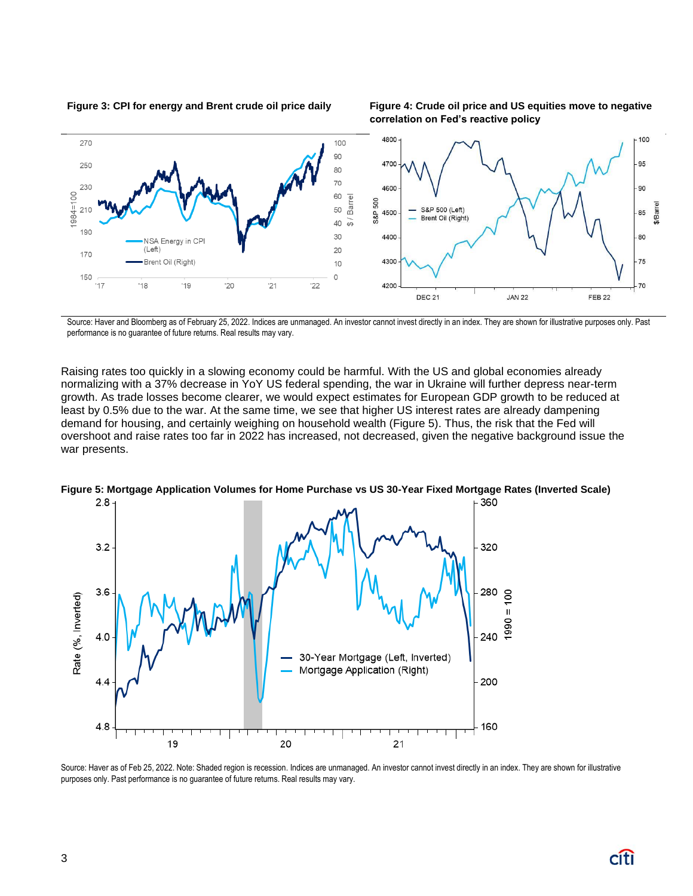**Figure 3: CPI for energy and Brent crude oil price daily Figure 4: Crude oil price and US equities move to negative** 

**correlation on Fed's reactive policy**



Source: Haver and Bloomberg as of February 25, 2022. Indices are unmanaged. An investor cannot invest directly in an index. They are shown for illustrative purposes only. Past performance is no guarantee of future returns. Real results may vary.

Raising rates too quickly in a slowing economy could be harmful. With the US and global economies already normalizing with a 37% decrease in YoY US federal spending, the war in Ukraine will further depress near-term growth. As trade losses become clearer, we would expect estimates for European GDP growth to be reduced at least by 0.5% due to the war. At the same time, we see that higher US interest rates are already dampening demand for housing, and certainly weighing on household wealth (Figure 5). Thus, the risk that the Fed will overshoot and raise rates too far in 2022 has increased, not decreased, given the negative background issue the war presents.



**Figure 5: Mortgage Application Volumes for Home Purchase vs US 30-Year Fixed Mortgage Rates (Inverted Scale)**

Source: Haver as of Feb 25, 2022. Note: Shaded region is recession. Indices are unmanaged. An investor cannot invest directly in an index. They are shown for illustrative purposes only. Past performance is no guarantee of future returns. Real results may vary.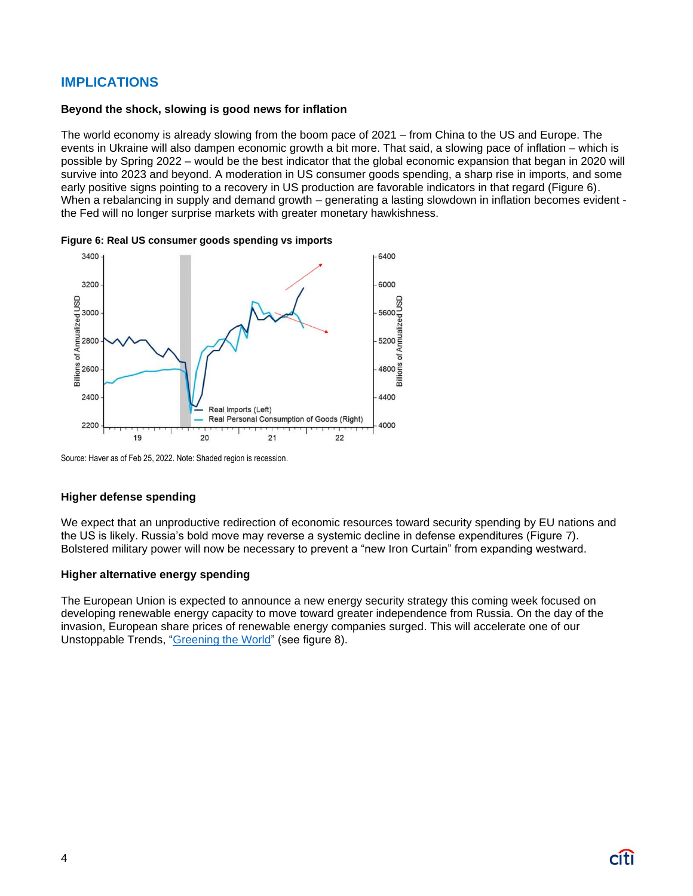# **IMPLICATIONS**

#### **Beyond the shock, slowing is good news for inflation**

The world economy is already slowing from the boom pace of 2021 – from China to the US and Europe. The events in Ukraine will also dampen economic growth a bit more. That said, a slowing pace of inflation – which is possible by Spring 2022 – would be the best indicator that the global economic expansion that began in 2020 will survive into 2023 and beyond. A moderation in US consumer goods spending, a sharp rise in imports, and some early positive signs pointing to a recovery in US production are favorable indicators in that regard (Figure 6). When a rebalancing in supply and demand growth – generating a lasting slowdown in inflation becomes evident the Fed will no longer surprise markets with greater monetary hawkishness.





Source: Haver as of Feb 25, 2022. Note: Shaded region is recession.

#### **Higher defense spending**

We expect that an unproductive redirection of economic resources toward security spending by EU nations and the US is likely. Russia's bold move may reverse a systemic decline in defense expenditures (Figure 7). Bolstered military power will now be necessary to prevent a "new Iron Curtain" from expanding westward.

#### **Higher alternative energy spending**

The European Union is expected to announce a new energy security strategy this coming week focused on developing renewable energy capacity to move toward greater independence from Russia. On the day of the invasion, European share prices of renewable energy companies surged. This will accelerate one of our Unstoppable Trends, ["Greening the World"](https://www.privatebank.citibank.com/ivc/docs/quadrant/SustainableStrategy20220209.pdf) (see figure 8).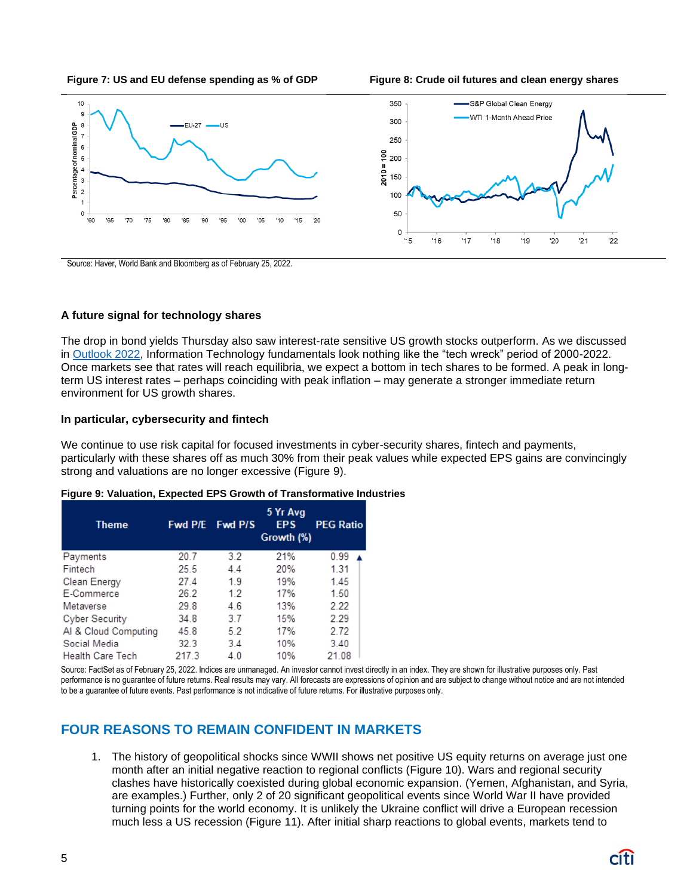



Source: Haver, World Bank and Bloomberg as of February 25, 2022.

#### **A future signal for technology shares**

The drop in bond yields Thursday also saw interest-rate sensitive US growth stocks outperform. As we discussed in [Outlook 2022,](https://www.privatebank.citibank.com/newcpb-media/media/documents/outlook/Outlook-2022-Citi-Global-Wealth-Investments.pdf?utm_source=cpb_internal&utm_medium=intranet&utm_campaign=ol22) Information Technology fundamentals look nothing like the "tech wreck" period of 2000-2022. Once markets see that rates will reach equilibria, we expect a bottom in tech shares to be formed. A peak in longterm US interest rates – perhaps coinciding with peak inflation – may generate a stronger immediate return environment for US growth shares.

#### **In particular, cybersecurity and fintech**

We continue to use risk capital for focused investments in cyber-security shares, fintech and payments, particularly with these shares off as much 30% from their peak values while expected EPS gains are convincingly strong and valuations are no longer excessive (Figure 9).

| <b>Theme</b>            | <b>Fwd P/E</b> Fwd P/S |     | 5 Yr Avg<br><b>EPS</b><br>Growth (%) | <b>PEG Ratio</b> |
|-------------------------|------------------------|-----|--------------------------------------|------------------|
| Payments                | 20.7                   | 3.2 | 21%                                  | 0.99             |
| Fintech                 | 25.5                   | 44  | 20%                                  | 1.31             |
| Clean Energy            | 27.4                   | 19  | 19%                                  | 1.45             |
| E-Commerce              | 26.2                   | 12  | 17%                                  | 1.50             |
| Metaverse               | 298                    | 46  | 13%                                  | 2.22             |
| Cyber Security          | 34.8                   | 37  | 15%                                  | 2.29             |
| Al & Cloud Computing    | 45.8                   | 5.2 | 17%                                  | 2.72             |
| Social Media            | 32.3                   | 34  | 10%                                  | 3.40             |
| <b>Health Care Tech</b> | 217.3                  | 40  | 10%                                  | 21.08            |

#### **Figure 9: Valuation, Expected EPS Growth of Transformative Industries**

Source: FactSet as of February 25, 2022. Indices are unmanaged. An investor cannot invest directly in an index. They are shown for illustrative purposes only. Past performance is no guarantee of future returns. Real results may vary. All forecasts are expressions of opinion and are subject to change without notice and are not intended to be a guarantee of future events. Past performance is not indicative of future returns. For illustrative purposes only.

# **FOUR REASONS TO REMAIN CONFIDENT IN MARKETS**

1. The history of geopolitical shocks since WWII shows net positive US equity returns on average just one month after an initial negative reaction to regional conflicts (Figure 10). Wars and regional security clashes have historically coexisted during global economic expansion. (Yemen, Afghanistan, and Syria, are examples.) Further, only 2 of 20 significant geopolitical events since World War II have provided turning points for the world economy. It is unlikely the Ukraine conflict will drive a European recession much less a US recession (Figure 11). After initial sharp reactions to global events, markets tend to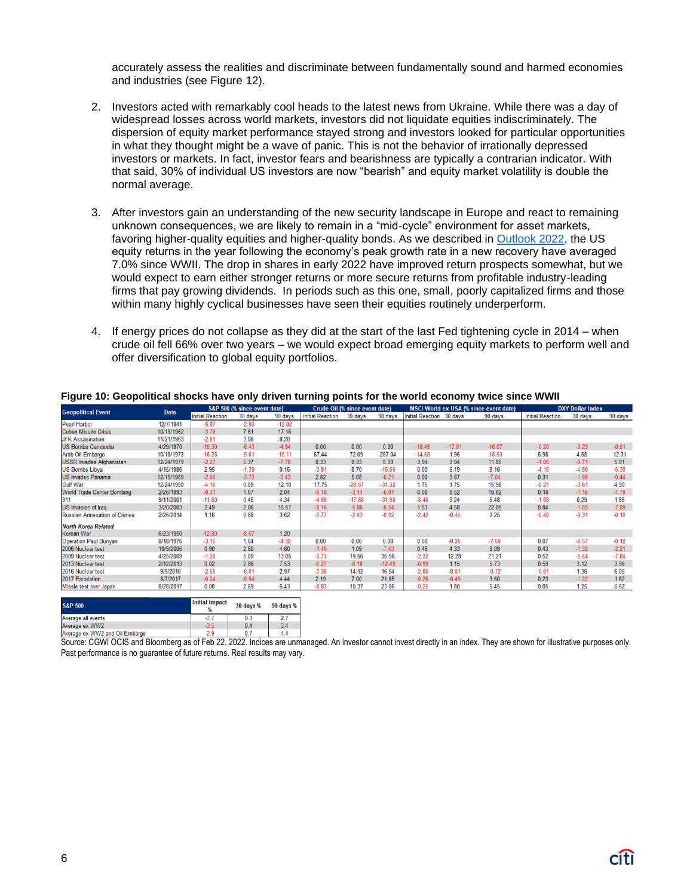accurately assess the realities and discriminate between fundamentally sound and harmed economies and industries (see Figure 12).

- 2. Investors acted with remarkably cool heads to the latest news from Ukraine. While there was a day of widespread losses across world markets, investors did not liquidate equities indiscriminately. The dispersion of equity market performance stayed strong and investors looked for particular opportunities in what they thought might be a wave of panic. This is not the behavior of irrationally depressed investors or markets. In fact, investor fears and bearishness are typically a contrarian indicator. With that said, 30% of individual US investors are now "bearish" and equity market volatility is double the normal average.
- 3. After investors gain an understanding of the new security landscape in Europe and react to remaining unknown consequences, we are likely to remain in a "mid-cycle" environment for asset markets, favoring higher-quality equities and higher-quality bonds. As we described in [Outlook 2022,](https://www.privatebank.citibank.com/newcpb-media/media/documents/outlook/Outlook-2022-Citi-Global-Wealth-Investments.pdf#top) the US equity returns in the year following the economy's peak growth rate in a new recovery have averaged 7.0% since WWII. The drop in shares in early 2022 have improved return prospects somewhat, but we would expect to earn either stronger returns or more secure returns from profitable industry-leading firms that pay growing dividends. In periods such as this one, small, poorly capitalized firms and those within many highly cyclical businesses have seen their equities routinely underperform.
- 4. If energy prices do not collapse as they did at the start of the last Fed tightening cycle in 2014 when crude oil fell 66% over two years – we would expect broad emerging equity markets to perform well and offer diversification to global equity portfolios.

| <b>Geopolitical Event</b>           | <b>Date</b> | S&P 500 (% since event date) |           | <b>Crude Oil (% since event date)</b> |                         | <b>MSCI World ex USA (% since event date)</b> |          |                          | <b>DXY Dollar Index</b> |          |                         |         |         |
|-------------------------------------|-------------|------------------------------|-----------|---------------------------------------|-------------------------|-----------------------------------------------|----------|--------------------------|-------------------------|----------|-------------------------|---------|---------|
|                                     |             | <b>Initial Reaction</b>      | 30 days   | 90 days                               | <b>Initial Reaction</b> | 30 days                                       | 90 days  | Initial Reaction 30 days |                         | 90 days  | <b>Initial Reaction</b> | 30 days | 90 days |
| <b>Pearl Harbor</b>                 | 12/7/1941   | $-6.87$                      | $-2.90$   | $-12.02$                              |                         |                                               |          |                          |                         |          |                         |         |         |
| <b>Cuban Missile Crisis</b>         | 10/19/1962  | $-3.78$                      | 7.61      | 17.16                                 |                         |                                               |          |                          |                         |          |                         |         |         |
| <b>JFK Assasination</b>             | 11/21/1963  | $-2.81$                      | 3.06      | 8.28                                  |                         |                                               |          |                          |                         |          |                         |         |         |
| <b>US Bombs Cambodia</b>            | 4/29/1970   | $-15.30$                     | $-6.43$   | $-4.94$                               | 0.00                    | 0.00                                          | 0.00     | $-10.45$                 | $-17.01$                | $-16.07$ | $-0.20$                 | $-0.23$ | $-0.51$ |
| Arab Oil Embargo                    | 10/18/1973  | $-16.26$                     | $-5.61$   | $-15.11$                              | 67.44                   | 72.09                                         | 287.04   | $-14.68$                 | 1.96                    | $-18.53$ | 6.98                    | 4.68    | 12.31   |
| <b>USSR Invades Afghanistan</b>     | 12/24/1979  | $-2.27$                      | 5.37      | $-7.78$                               | 8.33                    | 8.33                                          | 8.33     | 3.94                     | 3.94                    | 11.85    | $-1.06$                 | $-0.71$ | 5.91    |
| <b>US Bombs Libya</b>               | 4/15/1986   | 2.95                         | $-1.39$   | 0.16                                  | $-3.91$                 | 8.70                                          | $-15.65$ | 0.00                     | 6.19                    | 8.16     | $-4.15$                 | $-4.80$ | $-5.30$ |
| <b>US Invades Panama</b>            | 12/15/1989  | $-2.06$                      | $-3.73$   | $-3.43$                               | 2.82                    | 5.08                                          | $-6.21$  | 0.00                     | 3.67                    | $-7.04$  | 0.31                    | $-1.69$ | $-0.44$ |
| <b>Gulf War</b>                     | 12/24/1990  | $-4.16$                      | 0.09      | 12.10                                 | 17.75                   | $-20.67$                                      | $-31.32$ | 1.75                     | 1.75                    | 15.96    | $-0.21$                 | $-3.61$ | 4.90    |
| <b>World Trade Center Bombing</b>   | 2/26/1993   | $-0.31$                      | 1.67      | 2.04                                  | $-0.18$                 | $-3.44$                                       | $-5.81$  | 0.00                     | 8.52                    | 18.62    | 0.18                    | $-1.15$ | $-4.79$ |
| 911                                 | 9/11/2001   | $-11.60$                     | 0.45      | 4.34                                  | $-4.09$                 | $-17.68$                                      | $-31.98$ | $-8.48$                  | 3.24                    | 5.48     | $-1.08$                 | 0.29    | 1.85    |
| <b>US Invasion of Iraq</b>          | 3/20/2003   | 2.49                         | 2.06      | 15.57                                 | $-8.16$                 | $-5.86$                                       | $-6.54$  | 1.53                     | 4.58                    | 22.05    | 0.84                    | $-1.85$ | $-7.89$ |
| <b>Russian Annexation of Crimea</b> | 2/26/2014   | 1.16                         | 0.68      | 3.62                                  | $-3.77$                 | $-2.43$                                       | $-0.92$  | $-2.42$                  | $-0.45$                 | 3.25     | $-0.40$                 | $-0.31$ | $-0.10$ |
| <b>North Korea Related</b>          |             |                              |           |                                       |                         |                                               |          |                          |                         |          |                         |         |         |
| <b>Korean War</b>                   | 6/23/1950   | $-12.80$                     | $-8.67$   | 1.20                                  |                         |                                               |          |                          |                         |          |                         |         |         |
| <b>Operation Paul Bunyan</b>        | 8/18/1976   | $-3.15$                      | 1.64      | $-4.32$                               | 0.00                    | 0.00                                          | 0.00     | 0.00                     | $-0.26$                 | $-7.60$  | 0.07                    | $-0.57$ | $-0.12$ |
| 2006 Nuclear test                   | 10/9/2006   | 0.90                         | 2.60      | 4.60                                  | $-1.46$                 | 1.09                                          | $-7.43$  | 0.46                     | 4.33                    | 8.09     | 0.43                    | $-1.32$ | $-2.21$ |
| 2009 Nuclear test                   | 4/25/2009   | $-1.28$                      | 5.09      | 13.05                                 | $-3.73$                 | 19.56                                         | 36.56    | $-2.32$                  | 12.28                   | 21.21    | 0.52                    | $-5.54$ | $-7.04$ |
| 2013 Nuclear test                   | 2/12/2013   | 0.02                         | 2.88      | 7.53                                  | $-0.27$                 | $-8.18$                                       | $-12.49$ | $-0.99$                  | 1.15                    | 5.73     | 0.59                    | 3.12    | 3.96    |
| 2016 Nuclear test                   | 9/9/2016    | $-2.55$                      | $-0.81$   | 2.97                                  | $-3.38$                 | 14.12                                         | 16.54    | $-2.06$                  | $-0.81$                 | $-0.72$  | $-0.01$                 | 1.36    | 6.05    |
| 2017 Escalation                     | 8/7/2017    | $-0.24$                      | $-0.64$   | 4.44                                  | 2.19                    | 7.00                                          | 21.65    | $-0.26$                  | $-0.49$                 | 3.60     | 0.23                    | $-1.22$ | 1.62    |
| Missle test over Japan              | 8/28/2017   | 0.08                         | 2.69      | 6.43                                  | $-0.83$                 | 10.37                                         | 23.06    | $-0.25$                  | 1.80                    | 5.45     | 0.05                    | 1.25    | 0.62    |
| <b>S&amp;P 500</b>                  |             | <b>Initial Impact</b>        | 30 days % | 90 days %                             |                         |                                               |          |                          |                         |          |                         |         |         |

#### **Figure 10: Geopolitical shocks have only driven turning points for the world economy twice since WWII**

Source: CGWI OCIS and Bloomberg as of Feb 22, 2022. Indices are unmanaged. An investor cannot invest directly in an index. They are shown for illustrative purposes only. Past performance is no guarantee of future returns. Real results may vary.

 $0.3$ 

 $0.4$ 

 $3.4$ 

 $4.4$ 

 $-3.5$ 

Average all events<br>Average ex WW2

Average ex WW2 and Oil Embargo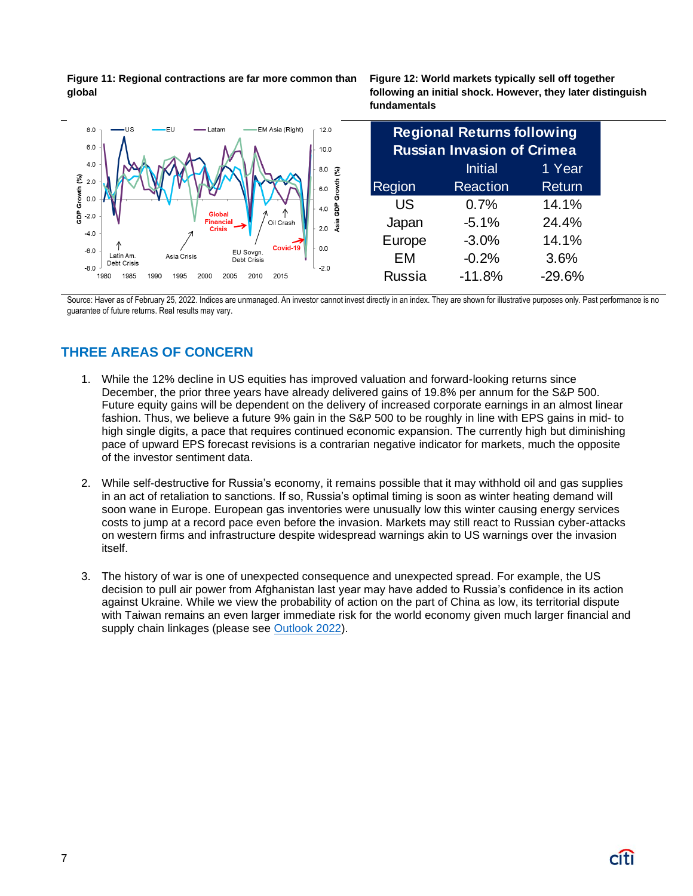**Figure 11: Regional contractions are far more common than global**

**Figure 12: World markets typically sell off together following an initial shock. However, they later distinguish fundamentals**



Source: Haver as of February 25, 2022. Indices are unmanaged. An investor cannot invest directly in an index. They are shown for illustrative purposes only. Past performance is no guarantee of future returns. Real results may vary.

# **THREE AREAS OF CONCERN**

- 1. While the 12% decline in US equities has improved valuation and forward-looking returns since December, the prior three years have already delivered gains of 19.8% per annum for the S&P 500. Future equity gains will be dependent on the delivery of increased corporate earnings in an almost linear fashion. Thus, we believe a future 9% gain in the S&P 500 to be roughly in line with EPS gains in mid- to high single digits, a pace that requires continued economic expansion. The currently high but diminishing pace of upward EPS forecast revisions is a contrarian negative indicator for markets, much the opposite of the investor sentiment data.
- 2. While self-destructive for Russia's economy, it remains possible that it may withhold oil and gas supplies in an act of retaliation to sanctions. If so, Russia's optimal timing is soon as winter heating demand will soon wane in Europe. European gas inventories were unusually low this winter causing energy services costs to jump at a record pace even before the invasion. Markets may still react to Russian cyber-attacks on western firms and infrastructure despite widespread warnings akin to US warnings over the invasion itself.
- 3. The history of war is one of unexpected consequence and unexpected spread. For example, the US decision to pull air power from Afghanistan last year may have added to Russia's confidence in its action against Ukraine. While we view the probability of action on the part of China as low, its territorial dispute with Taiwan remains an even larger immediate risk for the world economy given much larger financial and supply chain linkages (please see [Outlook 2022\)](https://www.privatebank.citibank.com/newcpb-media/media/documents/outlook/Outlook-2022-Citi-Global-Wealth-Investments.pdf#page=17).